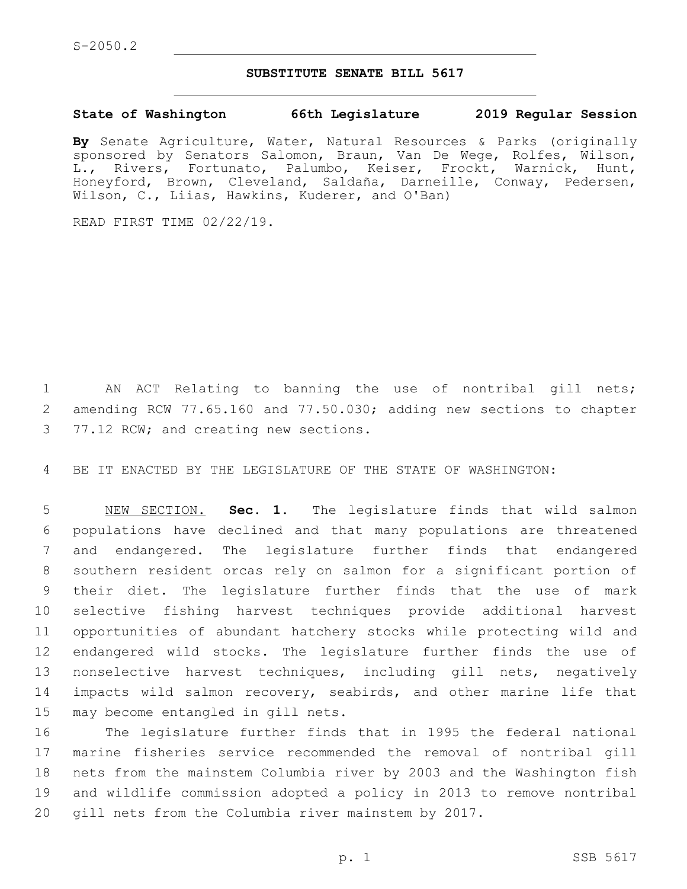## **SUBSTITUTE SENATE BILL 5617**

## **State of Washington 66th Legislature 2019 Regular Session**

**By** Senate Agriculture, Water, Natural Resources & Parks (originally sponsored by Senators Salomon, Braun, Van De Wege, Rolfes, Wilson, L., Rivers, Fortunato, Palumbo, Keiser, Frockt, Warnick, Hunt, Honeyford, Brown, Cleveland, Saldaña, Darneille, Conway, Pedersen, Wilson, C., Liias, Hawkins, Kuderer, and O'Ban)

READ FIRST TIME 02/22/19.

1 AN ACT Relating to banning the use of nontribal gill nets; 2 amending RCW 77.65.160 and 77.50.030; adding new sections to chapter 3 77.12 RCW; and creating new sections.

4 BE IT ENACTED BY THE LEGISLATURE OF THE STATE OF WASHINGTON:

 NEW SECTION. **Sec. 1.** The legislature finds that wild salmon populations have declined and that many populations are threatened and endangered. The legislature further finds that endangered southern resident orcas rely on salmon for a significant portion of their diet. The legislature further finds that the use of mark selective fishing harvest techniques provide additional harvest opportunities of abundant hatchery stocks while protecting wild and endangered wild stocks. The legislature further finds the use of nonselective harvest techniques, including gill nets, negatively 14 impacts wild salmon recovery, seabirds, and other marine life that may become entangled in gill nets.

 The legislature further finds that in 1995 the federal national marine fisheries service recommended the removal of nontribal gill nets from the mainstem Columbia river by 2003 and the Washington fish and wildlife commission adopted a policy in 2013 to remove nontribal gill nets from the Columbia river mainstem by 2017.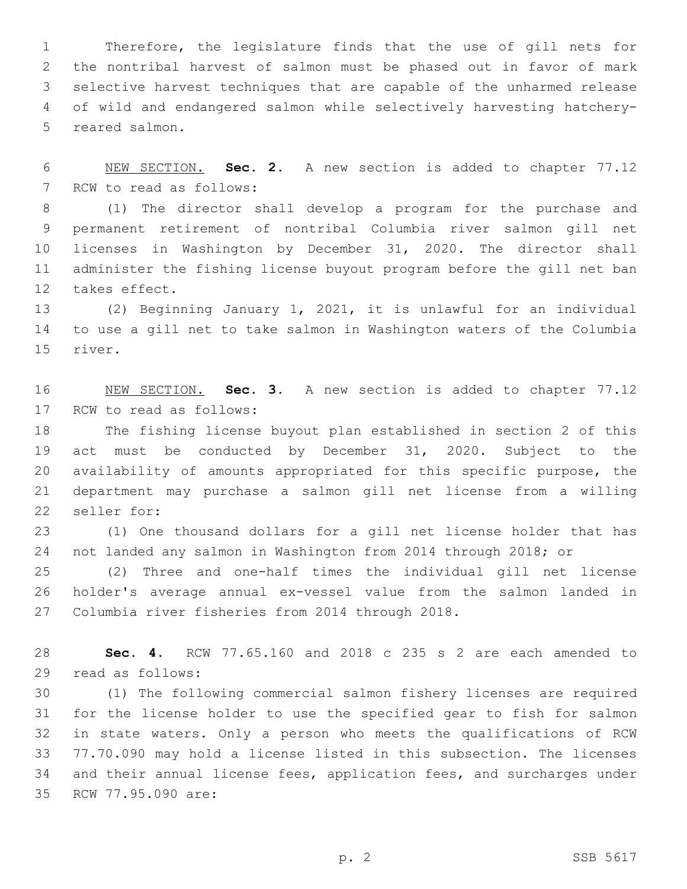Therefore, the legislature finds that the use of gill nets for the nontribal harvest of salmon must be phased out in favor of mark selective harvest techniques that are capable of the unharmed release of wild and endangered salmon while selectively harvesting hatchery-5 reared salmon.

 NEW SECTION. **Sec. 2.** A new section is added to chapter 77.12 7 RCW to read as follows:

 (1) The director shall develop a program for the purchase and permanent retirement of nontribal Columbia river salmon gill net licenses in Washington by December 31, 2020. The director shall administer the fishing license buyout program before the gill net ban 12 takes effect.

 (2) Beginning January 1, 2021, it is unlawful for an individual to use a gill net to take salmon in Washington waters of the Columbia 15 river.

 NEW SECTION. **Sec. 3.** A new section is added to chapter 77.12 17 RCW to read as follows:

 The fishing license buyout plan established in section 2 of this act must be conducted by December 31, 2020. Subject to the availability of amounts appropriated for this specific purpose, the department may purchase a salmon gill net license from a willing 22 seller for:

 (1) One thousand dollars for a gill net license holder that has not landed any salmon in Washington from 2014 through 2018; or

 (2) Three and one-half times the individual gill net license holder's average annual ex-vessel value from the salmon landed in 27 Columbia river fisheries from 2014 through 2018.

 **Sec. 4.** RCW 77.65.160 and 2018 c 235 s 2 are each amended to read as follows:29

 (1) The following commercial salmon fishery licenses are required for the license holder to use the specified gear to fish for salmon in state waters. Only a person who meets the qualifications of RCW 77.70.090 may hold a license listed in this subsection. The licenses and their annual license fees, application fees, and surcharges under 35 RCW 77.95.090 are: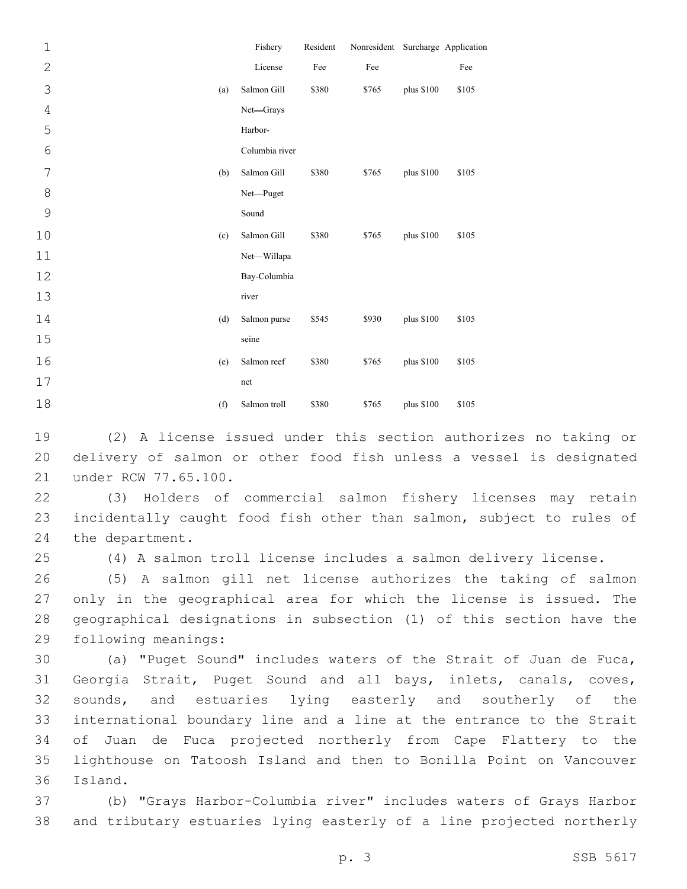| $\mathbf{1}$   |     | Fishery        | Resident | Nonresident Surcharge Application |             |       |
|----------------|-----|----------------|----------|-----------------------------------|-------------|-------|
| $\mathbf{2}$   |     | License        | Fee      | Fee                               |             | Fee   |
| 3              | (a) | Salmon Gill    | \$380    | \$765                             | plus \$100  | \$105 |
| $\overline{4}$ |     | Net-Grays      |          |                                   |             |       |
| 5              |     | Harbor-        |          |                                   |             |       |
| $6\,$          |     | Columbia river |          |                                   |             |       |
| 7              | (b) | Salmon Gill    | \$380    | \$765                             | plus \$100  | \$105 |
| $\,8\,$        |     | Net-Puget      |          |                                   |             |       |
| $\mathsf 9$    |     | Sound          |          |                                   |             |       |
| 10             | (c) | Salmon Gill    | \$380    | \$765                             | plus $$100$ | \$105 |
| 11             |     | Net-Willapa    |          |                                   |             |       |
| 12             |     | Bay-Columbia   |          |                                   |             |       |
| 13             |     | river          |          |                                   |             |       |
| 14             | (d) | Salmon purse   | \$545    | \$930                             | plus \$100  | \$105 |
| 15             |     | seine          |          |                                   |             |       |
| 16             | (e) | Salmon reef    | \$380    | \$765                             | plus \$100  | \$105 |
| 17             |     | net            |          |                                   |             |       |
| 18             | (f) | Salmon troll   | \$380    | \$765                             | plus \$100  | \$105 |

19 (2) A license issued under this section authorizes no taking or 20 delivery of salmon or other food fish unless a vessel is designated 21 under RCW 77.65.100.

22 (3) Holders of commercial salmon fishery licenses may retain 23 incidentally caught food fish other than salmon, subject to rules of 24 the department.

25 (4) A salmon troll license includes a salmon delivery license.

 (5) A salmon gill net license authorizes the taking of salmon only in the geographical area for which the license is issued. The geographical designations in subsection (1) of this section have the 29 following meanings:

 (a) "Puget Sound" includes waters of the Strait of Juan de Fuca, Georgia Strait, Puget Sound and all bays, inlets, canals, coves, sounds, and estuaries lying easterly and southerly of the international boundary line and a line at the entrance to the Strait of Juan de Fuca projected northerly from Cape Flattery to the lighthouse on Tatoosh Island and then to Bonilla Point on Vancouver 36 Island.

37 (b) "Grays Harbor-Columbia river" includes waters of Grays Harbor 38 and tributary estuaries lying easterly of a line projected northerly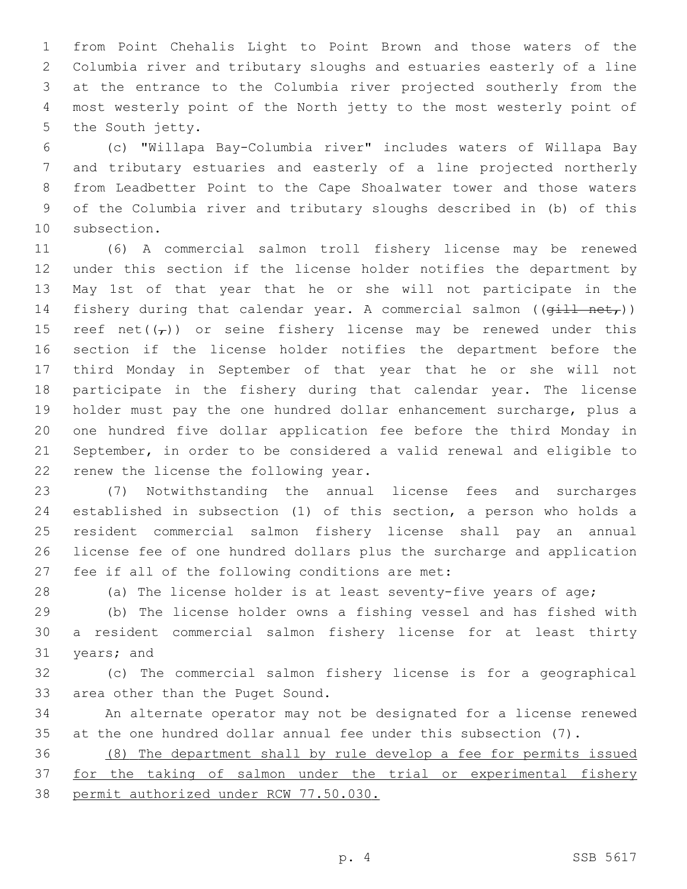from Point Chehalis Light to Point Brown and those waters of the Columbia river and tributary sloughs and estuaries easterly of a line at the entrance to the Columbia river projected southerly from the most westerly point of the North jetty to the most westerly point of 5 the South jetty.

 (c) "Willapa Bay-Columbia river" includes waters of Willapa Bay and tributary estuaries and easterly of a line projected northerly from Leadbetter Point to the Cape Shoalwater tower and those waters of the Columbia river and tributary sloughs described in (b) of this 10 subsection.

 (6) A commercial salmon troll fishery license may be renewed under this section if the license holder notifies the department by May 1st of that year that he or she will not participate in the 14 fishery during that calendar year. A commercial salmon ( $(\overrightarrow{qill} \ \text{net}_T)$ ) 15 reef net( $(\tau)$ ) or seine fishery license may be renewed under this section if the license holder notifies the department before the third Monday in September of that year that he or she will not participate in the fishery during that calendar year. The license holder must pay the one hundred dollar enhancement surcharge, plus a one hundred five dollar application fee before the third Monday in September, in order to be considered a valid renewal and eligible to 22 renew the license the following year.

 (7) Notwithstanding the annual license fees and surcharges established in subsection (1) of this section, a person who holds a resident commercial salmon fishery license shall pay an annual license fee of one hundred dollars plus the surcharge and application 27 fee if all of the following conditions are met:

28 (a) The license holder is at least seventy-five years of age;

 (b) The license holder owns a fishing vessel and has fished with a resident commercial salmon fishery license for at least thirty 31 years; and

 (c) The commercial salmon fishery license is for a geographical 33 area other than the Puget Sound.

 An alternate operator may not be designated for a license renewed at the one hundred dollar annual fee under this subsection (7).

 (8) The department shall by rule develop a fee for permits issued 37 for the taking of salmon under the trial or experimental fishery permit authorized under RCW 77.50.030.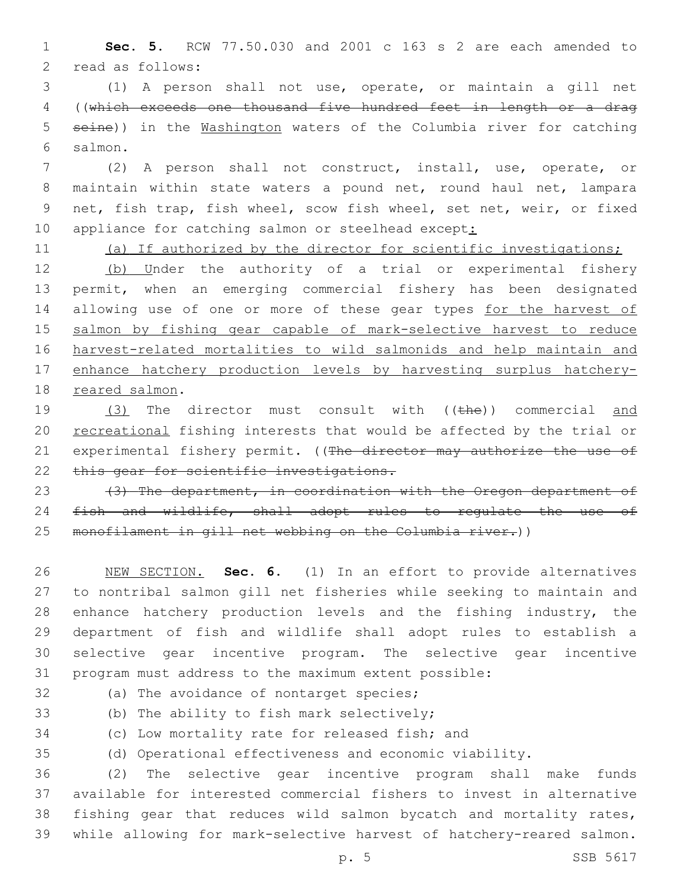1 **Sec. 5.** RCW 77.50.030 and 2001 c 163 s 2 are each amended to 2 read as follows:

 (1) A person shall not use, operate, or maintain a gill net ((which exceeds one thousand five hundred feet in length or a drag seine)) in the Washington waters of the Columbia river for catching salmon.6

 (2) A person shall not construct, install, use, operate, or maintain within state waters a pound net, round haul net, lampara net, fish trap, fish wheel, scow fish wheel, set net, weir, or fixed 10 appliance for catching salmon or steelhead except:

11 (a) If authorized by the director for scientific investigations;

12 (b) Under the authority of a trial or experimental fishery 13 permit, when an emerging commercial fishery has been designated 14 allowing use of one or more of these gear types for the harvest of 15 salmon by fishing gear capable of mark-selective harvest to reduce 16 harvest-related mortalities to wild salmonids and help maintain and 17 enhance hatchery production levels by harvesting surplus hatchery-18 reared salmon.

19 (3) The director must consult with ((the)) commercial and 20 recreational fishing interests that would be affected by the trial or 21 experimental fishery permit. ((The director may authorize the use of 22 this gear for scientific investigations.

23 (3) The department, in coordination with the Oregon department of 24 fish and wildlife, shall adopt rules to regulate the use of 25 monofilament in gill net webbing on the Columbia river.))

 NEW SECTION. **Sec. 6.** (1) In an effort to provide alternatives to nontribal salmon gill net fisheries while seeking to maintain and enhance hatchery production levels and the fishing industry, the department of fish and wildlife shall adopt rules to establish a selective gear incentive program. The selective gear incentive program must address to the maximum extent possible:

32 (a) The avoidance of nontarget species;

33 (b) The ability to fish mark selectively;

34 (c) Low mortality rate for released fish; and

35 (d) Operational effectiveness and economic viability.

 (2) The selective gear incentive program shall make funds available for interested commercial fishers to invest in alternative fishing gear that reduces wild salmon bycatch and mortality rates, while allowing for mark-selective harvest of hatchery-reared salmon.